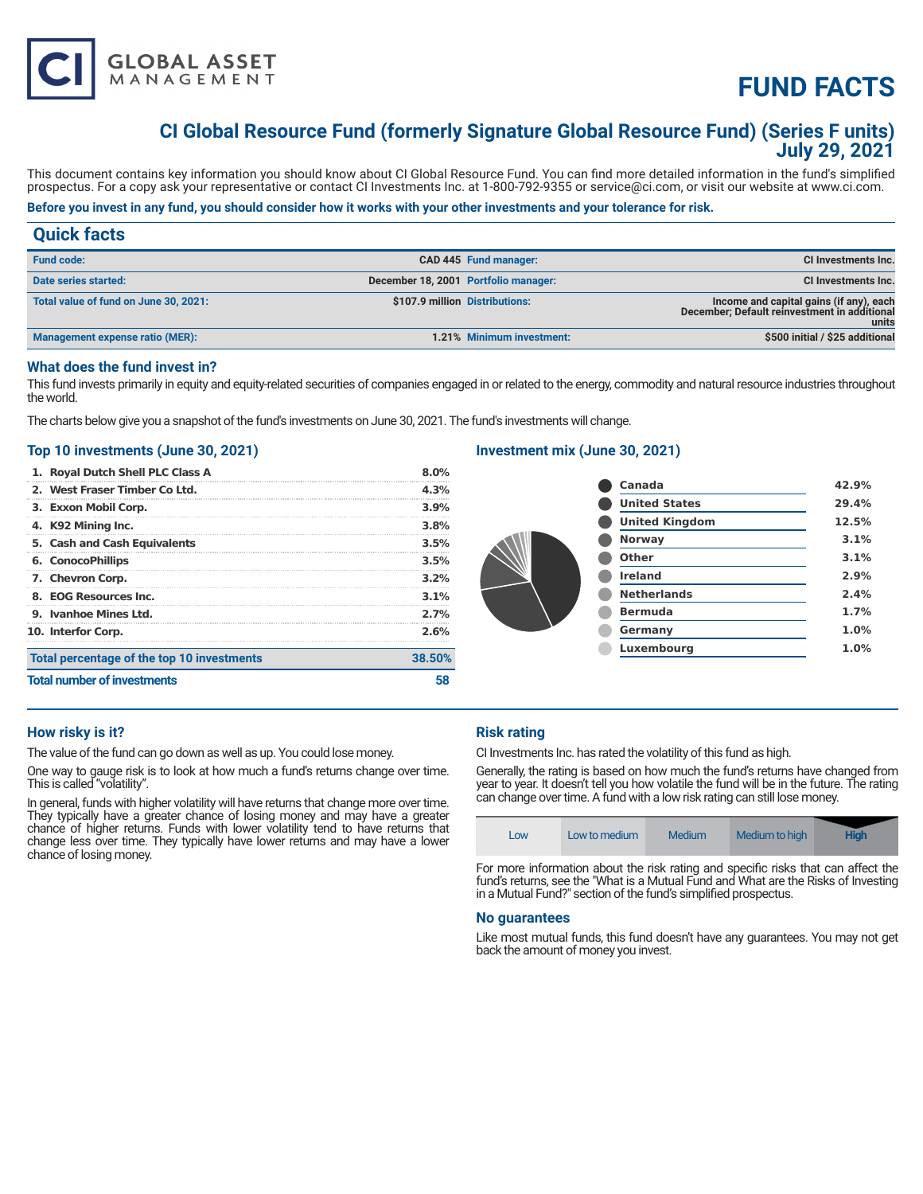

# **FUND FACTS**

# **CI Global Resource Fund (formerly Signature Global Resource Fund) (Series F units) July 29, 2021**

This document contains key information you should know about CI Global Resource Fund. You can find more detailed information in the fund's simplified prospectus. For a copy ask your representative or contact CI Investments Inc. at 1-800-792-9355 or service@ci.com, or visit our website at www.ci.com.

# **Before you invest in any fund, you should consider how it works with your other investments and your tolerance for risk.**

# **Quick facts Fund code: CAD 445 Fund manager: CI Investments Inc. Date series started:** CI Investments Inc. **December 18, 2001** Portfolio manager: CI Investments Inc. **CI Investments Inc. Total value of fund on June 30, 2021: \$107.9 million Distributions: Income and capital gains (if any), each December; Default reinvestment in additional units**  Management expense ratio (MER): **1.21% Minimum investment:** \$500 initial / \$25 additional **Accord 2010** 1.21% Minimum investment:

#### **What does the fund invest in?**

This fund invests primarily in equity and equity-related securities of companies engaged in or related to the energy, commodity and natural resource industries throughout the world.

The charts below give you a snapshot of the fund's investments on June 30, 2021. The fund's investments will change.

#### **Top 10 investments (June 30, 2021)**

|                                    | 1. Royal Dutch Shell PLC Class A           | 8.0%   |
|------------------------------------|--------------------------------------------|--------|
|                                    | 2. West Fraser Timber Co Ltd.              | 4.3%   |
|                                    | 3. Exxon Mobil Corp.                       | 3.9%   |
|                                    | 4. K92 Mining Inc.                         | 3.8%   |
|                                    | 5. Cash and Cash Equivalents               | 3.5%   |
|                                    | <b>6. ConocoPhillips</b>                   | 3.5%   |
|                                    | 7. Chevron Corp.                           | 3.2%   |
|                                    | 8. EOG Resources Inc.                      | 3.1%   |
|                                    | 9. Ivanhoe Mines Ltd.                      | 2.7%   |
|                                    | 10. Interfor Corp.                         | 2.6%   |
|                                    | Total percentage of the top 10 investments | 38.50% |
| <b>Total number of investments</b> |                                            |        |

## **Investment mix (June 30, 2021)**

| <b>Canada</b>         | 42.9% |
|-----------------------|-------|
| <b>United States</b>  | 29.4% |
| <b>United Kingdom</b> | 12.5% |
| <b>Norway</b>         | 3.1%  |
| Other                 | 3.1%  |
| <b>Ireland</b>        | 2.9%  |
| <b>Netherlands</b>    | 2.4%  |
| <b>Bermuda</b>        | 1.7%  |
| Germany               | 1.0%  |
| Luxembourg            | 1.0%  |
|                       |       |

#### **How risky is it?**

The value of the fund can go down as well as up. You could lose money.

One way to gauge risk is to look at how much a fund's returns change over time. This is called "volatility".

In general, funds with higher volatility will have returns that change more over time. They typically have a greater chance of losing money and may have a greater chance of higher returns. Funds with lower volatility tend to have returns that change less over time. They typically have lower returns and may have a lower chance of losing money.

## **Risk rating**

CI Investments Inc. has rated the volatility of this fund as high.

Generally, the rating is based on how much the fund's returns have changed from year to year. It doesn't tell you how volatile the fund will be in the future. The rating can change over time. A fund with a low risk rating can still lose money.

| LOW | Low to medium | Medium | Medium to high | <b>High</b> |
|-----|---------------|--------|----------------|-------------|
|-----|---------------|--------|----------------|-------------|

For more information about the risk rating and specific risks that can affect the fund's returns, see the "What is a Mutual Fund and What are the Risks of Investing in a Mutual Fund?" section of the fund's simplified prospectus.

#### **No guarantees**

Like most mutual funds, this fund doesn't have any guarantees. You may not get back the amount of money you invest.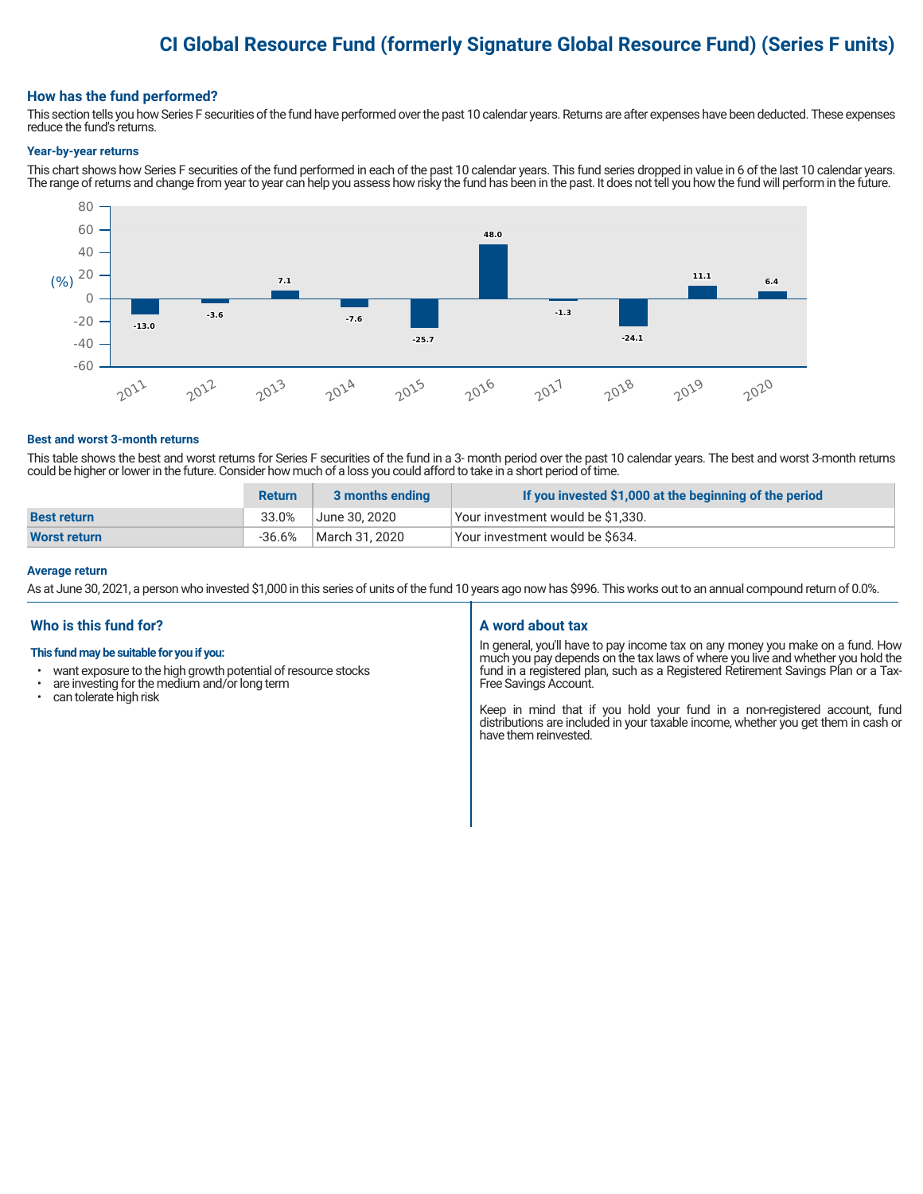# **CI Global Resource Fund (formerly Signature Global Resource Fund) (Series F units)**

#### **How has the fund performed?**

This section tells you how Series F securities of the fund have performed over the past 10 calendar years. Returns are after expenses have been deducted. These expenses reduce the fund's returns.

#### **Year-by-year returns**

This chart shows how Series F securities of the fund performed in each of the past 10 calendar years. This fund series dropped in value in 6 of the last 10 calendar years. The range of returns and change from year to year can help you assess how risky the fund has been in the past. It does not tell you how the fund will perform in the future.



#### **Best and worst 3-month returns**

This table shows the best and worst returns for Series F securities of the fund in a 3- month period over the past 10 calendar years. The best and worst 3-month returns could be higher or lower in the future. Consider how much of a loss you could afford to take in a short period of time.

|                     | <b>Return</b> | 3 months ending | If you invested \$1,000 at the beginning of the period |
|---------------------|---------------|-----------------|--------------------------------------------------------|
| <b>Best return</b>  | 33.0%         | June 30. 2020   | Vour investment would be \$1,330.                      |
| <b>Worst return</b> | -36.6%        | March 31, 2020  | Your investment would be \$634.                        |

#### **Average return**

As at June 30, 2021, a person who invested \$1,000 in this series of units of the fund 10 years ago now has \$996. This works out to an annual compound return of 0.0%.

## **Who is this fund for?**

#### **This fund may be suitable for you if you:**

- want exposure to the high growth potential of resource stocks
- $\cdot$  are investing for the medium and/or long term<br> $\cdot$  can tolerate bigh risk
- can tolerate high risk

#### **A word about tax**

In general, you'll have to pay income tax on any money you make on a fund. How much you pay depends on the tax laws of where you live and whether you hold the fund in a registered plan, such as a Registered Retirement Savings Plan or a Tax-Free Savings Account.

Keep in mind that if you hold your fund in a non-registered account, fund distributions are included in your taxable income, whether you get them in cash or have them reinvested.